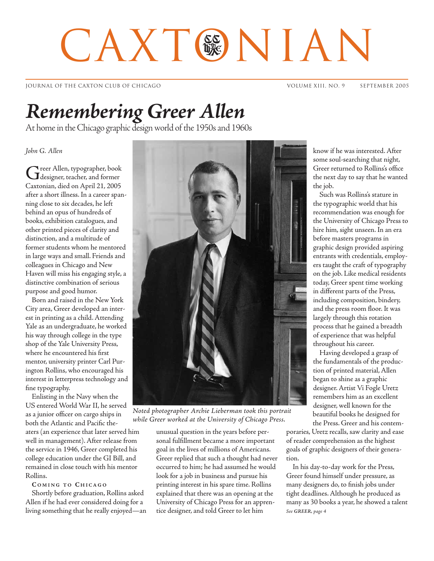# CAXT®NIAN

JOURNAL OF THE CAXTON CLUB OF CHICAGO VOLUME XIII, NO. 9 SEPTEMBER 2005

## *Remembering Greer Allen*

At home in the Chicago graphic design world of the 1950s and 1960s

## *John G. Allen*

Greer Allen, typographer, book designer, teacher, and former Caxtonian, died on April 21, 2005 after a short illness. In a career spanning close to six decades, he left behind an opus of hundreds of books, exhibition catalogues, and other printed pieces of clarity and distinction, and a multitude of former students whom he mentored in large ways and small. Friends and colleagues in Chicago and New Haven will miss his engaging style, a distinctive combination of serious purpose and good humor.

Born and raised in the New York City area, Greer developed an interest in printing as a child. Attending Yale as an undergraduate, he worked his way through college in the type shop of the Yale University Press, where he encountered his first mentor, university printer Carl Purington Rollins, who encouraged his interest in letterpress technology and fine typography.

Enlisting in the Navy when the US entered World War II, he served as a junior officer on cargo ships in both the Atlantic and Pacific theaters (an experience that later served him well in management). After release from the service in 1946, Greer completed his college education under the GI Bill, and remained in close touch with his mentor Rollins.

## **C OMING TO C HICAGO**

Shortly before graduation, Rollins asked Allen if he had ever considered doing for a living something that he really enjoyed—an



*Noted photographer Archie Lieberman took this portrait while Greer worked at the University of Chicago Press.*

unusual question in the years before personal fulfillment became a more important goal in the lives of millions of Americans. Greer replied that such a thought had never occurred to him; he had assumed he would look for a job in business and pursue his printing interest in his spare time. Rollins explained that there was an opening at the University of Chicago Press for an apprentice designer, and told Greer to let him

know if he was interested. After some soul-searching that night, Greer returned to Rollins's office the next day to say that he wanted the job.

Such was Rollins's stature in the typographic world that his recommendation was enough for the University of Chicago Press to hire him, sight unseen. In an era before masters programs in graphic design provided aspiring entrants with credentials, employers taught the craft of typography on the job. Like medical residents today, Greer spent time working in different parts of the Press, including composition, bindery, and the press room floor. It was largely through this rotation process that he gained a breadth of experience that was helpful throughout his career.

Having developed a grasp of the fundamentals of the production of printed material, Allen began to shine as a graphic designer. Artist Vi Fogle Uretz remembers him as an excellent designer, well known for the beautiful books he designed for the Press. Greer and his contem-

poraries, Uretz recalls, saw clarity and ease of reader comprehension as the highest goals of graphic designers of their generation.

*See GREER, page 4* In his day-to-day work for the Press, Greer found himself under pressure, as many designers do, to finish jobs under tight deadlines. Although he produced as many as 30 books a year, he showed a talent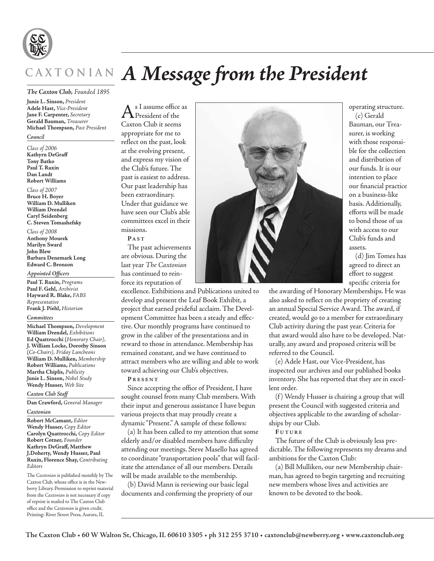

# **C A X T O N I A N** *A Message from the President*

## *The Caxton Club, Founded 1895*

**Junie L. Sinson,** *President* **Adele Hast,** *Vice-President* **Jane F. Carpenter,** *Secretary* **Gerald Bauman,** *Treasurer* **Michael Thompson,** *Past President*

## *Council*

*Class of 2006* **Kathyrn DeGraff Tony Batko Paul T. Ruxin Dan Landt Robert Williams**

## *Class of 2007*

**Bruce H. Boyer William D. Mulliken William Drendel Caryl Seidenberg C. Steven Tomashefsky**

*Class of 2008* **Anthony Mourek Marilyn Sward John Blew Barbara Denemark Long Edward C. Bronson**

*Appointed Officers*

**Paul T. Ruxin,** *Programs* **Paul F. Gehl,** *Archivist* **Hayward R. Blake,** *FABS Representative* **Frank J. Piehl,** *Historian*

### *Committees*

**Michael Thompson,** *Development* **William Drendel,** *Exhibitions* **Ed Quattrocchi (***Honorary Chair),*  **J. William Locke, Dorothy Sinson (***Co-Chairs), Friday Luncheons* **William D. Mulliken,** *Membership* **Robert Williams,** *Publications* **Martha Chiplis,** *Publicity* **Junie L. Sinson,** *Nobel Study* **Wendy Husser,** *Web Site*

## *Caxton Club Staff*

**Dan Crawford,** *General Manager*

## *Caxtonian*

**Robert McCamant,** *Editor* **Wendy Husser,** *Copy Editor* **Carolyn Quattrocchi,** *Copy Editor* **Robert Cotner,** *Founder* **Kathryn DeGraff, Matthew J.Doherty, Wendy Husser, Paul Ruxin, Florence Shay,** *Contributing Editors*

The *Caxtonian* is published monthly by The Caxton Club, whose office is in the Newberry Library. Permission to reprint material from the *Caxtonian* is not necessary if copy of reprint is mailed to The Caxton Club office and the *Caxtonian* is given credit. Printing: River Street Press, Aurora, IL

s I assume office as President of the Caxton Club it seems appropriate for me to reflect on the past, look at the evolving present, and express my vision of the Club's future. The past is easiest to address. Our past leadership has been extraordinary. Under that guidance we have seen our Club's able committees excel in their missions. **P A C**  $T$ 

The past achievements are obvious. During the last year *The Caxtonian* has continued to reinforce its reputation of

excellence. Exhibitions and Publications united to develop and present the Leaf Book Exhibit, a project that earned prideful acclaim. The Development Committee has been a steady and effective. Our monthly programs have continued to grow in the caliber of the presentations and in reward to those in attendance. Membership has remained constant, and we have continued to attract members who are willing and able to work toward achieving our Club's objectives.

**P RESENT**

Since accepting the office of President, I have sought counsel from many Club members. With their input and generous assistance I have begun various projects that may proudly create a dynamic "Present." A sample of these follows:

(a) It has been called to my attention that some elderly and/or disabled members have difficulty attending our meetings. Steve Masello has agreed to coordinate "transportation pools" that will facilitate the attendance of all our members. Details will be made available to the membership.

(b) David Mann is reviewing our basic legal documents and confirming the propriety of our



operating structure. (c) Gerald Bauman, our Treasurer, is working with those responsible for the collection and distribution of our funds. It is our intention to place our financial practice on a business-like basis. Additionally, efforts will be made to bond those of us with access to our Club's funds and assets.

(d) Jim Tomes has agreed to direct an effort to suggest specific criteria for

the awarding of Honorary Memberships. He was also asked to reflect on the propriety of creating an annual Special Service Award. The award, if created, would go to a member for extraordinary Club activity during the past year. Criteria for that award would also have to be developed. Naturally, any award and proposed criteria will be referred to the Council.

(e) Adele Hast, our Vice-President, has inspected our archives and our published books inventory. She has reported that they are in excellent order.

(f) Wendy Husser is chairing a group that will present the Council with suggested criteria and objectives applicable to the awarding of scholarships by our Club.

**F UTURE**

The future of the Club is obviously less predictable. The following represents my dreams and ambitions for the Caxton Club:

(a) Bill Mulliken, our new Membership chairman, has agreed to begin targeting and recruiting new members whose lives and activities are known to be devoted to the book.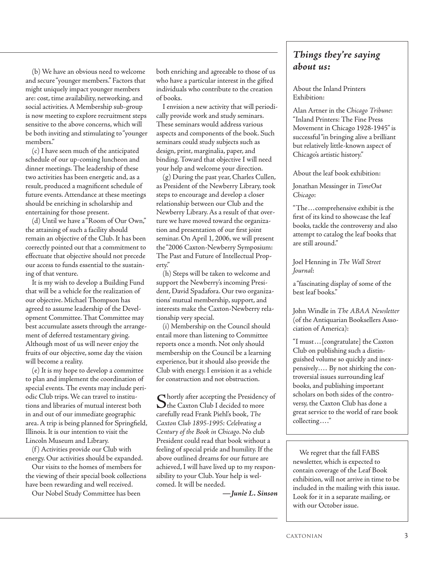(b) We have an obvious need to welcome and secure "younger members." Factors that might uniquely impact younger members are: cost, time availability, networking, and social activities. A Membership sub-group is now meeting to explore recruitment steps sensitive to the above concerns, which will be both inviting and stimulating to "younger members."

(c) I have seen much of the anticipated schedule of our up-coming luncheon and dinner meetings. The leadership of these two activities has been energetic and, as a result, produced a magnificent schedule of future events. Attendance at these meetings should be enriching in scholarship and entertaining for those present.

(d) Until we have a "Room of Our Own," the attaining of such a facility should remain an objective of the Club. It has been correctly pointed out that a commitment to effectuate that objective should not precede our access to funds essential to the sustaining of that venture.

It is my wish to develop a Building Fund that will be a vehicle for the realization of our objective. Michael Thompson has agreed to assume leadership of the Development Committee. That Committee may best accumulate assets through the arrangement of deferred testamentary giving. Although most of us will never enjoy the fruits of our objective, some day the vision will become a reality.

(e) It is my hope to develop a committee to plan and implement the coordination of special events. The events may include periodic Club trips. We can travel to institutions and libraries of mutual interest both in and out of our immediate geographic area. A trip is being planned for Springfield, Illinois. It is our intention to visit the Lincoln Museum and Library.

(f ) Activities provide our Club with energy. Our activities should be expanded.

Our visits to the homes of members for the viewing of their special book collections have been rewarding and well received.

Our Nobel Study Committee has been

both enriching and agreeable to those of us who have a particular interest in the gifted individuals who contribute to the creation of books.

I envision a new activity that will periodically provide work and study seminars. These seminars would address various aspects and components of the book. Such seminars could study subjects such as design, print, marginalia, paper, and binding. Toward that objective I will need your help and welcome your direction.

(g) During the past year, Charles Cullen, as President of the Newberry Library, took steps to encourage and develop a closer relationship between our Club and the Newberry Library. As a result of that overture we have moved toward the organization and presentation of our first joint seminar. On April 1, 2006, we will present the "2006 Caxton-Newberry Symposium: The Past and Future of Intellectual Property."

(h) Steps will be taken to welcome and support the Newberry's incoming President, David Spadafora. Our two organizations' mutual membership, support, and interests make the Caxton-Newberry relationship very special.

(i) Membership on the Council should entail more than listening to Committee reports once a month. Not only should membership on the Council be a learning experience, but it should also provide the Club with energy. I envision it as a vehicle for construction and not obstruction.

Shortly after accepting the Presidency of The Caxton Club I decided to more carefully read Frank Piehl's book, *The Caxton Club 1895-1995: Celebrating a Century of the Book in Chicago*. No club President could read that book without a feeling of special pride and humility. If the above outlined dreams for our future are achieved, I will have lived up to my responsibility to your Club. Your help is welcomed. It will be needed.

*—Junie L. Sinson*

## *Things they're saying about us:*

About the Inland Printers Exhibition:

Alan Artner in the *Chicago Tribune*: "Inland Printers: The Fine Press Movement in Chicago 1928-1945" is successful "in bringing alive a brilliant but relatively little-known aspect of Chicago's artistic history."

About the leaf book exhibition:

Jonathan Messinger in *TimeOut Chicago*:

"The...comprehensive exhibit is the first of its kind to showcase the leaf books, tackle the controversy and also attempt to catalog the leaf books that are still around."

Joel Henning in *The Wall Street Journal*:

a "fascinating display of some of the best leaf books."

John Windle in *The ABAA Newsletter* (of the Antiquarian Booksellers Association of America):

"I must...[congratulate] the Caxton Club on publishing such a distinguished volume so quickly and inexpensively.... By not shirking the controversial issues surrounding leaf books, and publishing important scholars on both sides of the controversy, the Caxton Club has done a great service to the world of rare book collecting...."

We regret that the fall FABS newsletter, which is expected to contain coverage of the Leaf Book exhibition, will not arrive in time to be included in the mailing with this issue. Look for it in a separate mailing, or with our October issue.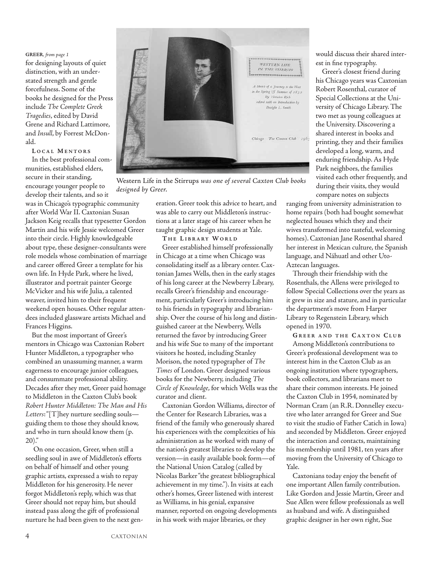## **GREER***, from page 1*

for designing layouts of quiet distinction, with an understated strength and gentle forcefulness. Some of the books he designed for the Press include *The Complete Greek Tragedies*, edited by David Grene and Richard Lattimore, and *Insull*, by Forrest McDonald.

**L OCAL M ENTORS** In the best professional communities, established elders, secure in their standing, encourage younger people to develop their talents, and so it

was in Chicago's typographic community after World War II. Caxtonian Susan Jackson Keig recalls that typesetter Gordon Martin and his wife Jessie welcomed Greer into their circle. Highly knowledgeable about type, these designer-consultants were role models whose combination of marriage and career offered Greer a template for his own life. In Hyde Park, where he lived, illustrator and portrait painter George McVicker and his wife Julia, a talented weaver, invited him to their frequent weekend open houses. Other regular attendees included glassware artists Michael and Frances Higgins.

But the most important of Greer's mentors in Chicago was Caxtonian Robert Hunter Middleton, a typographer who combined an unassuming manner, a warm eagerness to encourage junior colleagues, and consummate professional ability. Decades after they met, Greer paid homage to Middleton in the Caxton Club's book *Robert Hunter Middleton: The Man and His Letters*:"[T]hey nurture seedling souls guiding them to those they should know, and who in turn should know them (p.  $20$ )."

On one occasion, Greer, when still a seedling soul in awe of Middleton's efforts on behalf of himself and other young graphic artists, expressed a wish to repay Middleton for his generosity. He never forgot Middleton's reply, which was that Greer should not repay him, but should instead pass along the gift of professional nurture he had been given to the next gen-



Western Life in the Stirrups *was one of several Caxton Club books designed by Greer.* 

eration. Greer took this advice to heart, and was able to carry out Middleton's instructions at a later stage of his career when he taught graphic design students at Yale.

**T H E L IBRARY WORLD**

Greer established himself professionally in Chicago at a time when Chicago was consolidating itself as a library center. Caxtonian James Wells, then in the early stages of his long career at the Newberry Library, recalls Greer's friendship and encouragement, particularly Greer's introducing him to his friends in typography and librarianship. Over the course of his long and distinguished career at the Newberry, Wells returned the favor by introducing Greer and his wife Sue to many of the important visitors he hosted, including Stanley Morison, the noted typographer of *The Times* of London. Greer designed various books for the Newberry, including *The Circle of Knowledge*, for which Wells was the curator and client.

Caxtonian Gordon Williams, director of the Center for Research Libraries, was a friend of the family who generously shared his experiences with the complexities of his administration as he worked with many of the nation's greatest libraries to develop the version—in easily available book form—of the National Union Catalog (called by Nicolas Barker "the greatest bibliographical achievement in my time."). In visits at each other's homes, Greer listened with interest as Williams, in his genial, expansive manner, reported on ongoing developments in his work with major libraries, or they

would discuss their shared interest in fine typography.

Greer's closest friend during his Chicago years was Caxtonian Robert Rosenthal, curator of Special Collections at the University of Chicago Library. The two met as young colleagues at the University. Discovering a shared interest in books and printing, they and their families developed a long, warm, and enduring friendship. As Hyde Park neighbors, the families visited each other frequently, and during their visits, they would compare notes on subjects

ranging from university administration to home repairs (both had bought somewhat neglected houses which they and their wives transformed into tasteful, welcoming homes). Caxtonian Jane Rosenthal shared her interest in Mexican culture, the Spanish language, and Náhuatl and other Uto-Aztecan languages.

Through their friendship with the Rosenthals, the Allens were privileged to follow Special Collections over the years as it grew in size and stature, and in particular the department's move from Harper Library to Regenstein Library, which opened in 1970.

**G REER AND THE C AXTON CLUB**

Among Middleton's contributions to Greer's professional development was to interest him in the Caxton Club as an ongoing institution where typographers, book collectors, and librarians meet to share their common interests. He joined the Caxton Club in 1954, nominated by Norman Cram (an R.R. Donnelley executive who later arranged for Greer and Sue to visit the studio of Father Catich in Iowa) and seconded by Middleton. Greer enjoyed the interaction and contacts, maintaining his membership until 1981, ten years after moving from the University of Chicago to Yale.

Caxtonians today enjoy the benefit of one important Allen family contribution. Like Gordon and Jessie Martin, Greer and Sue Allen were fellow professionals as well as husband and wife. A distinguished graphic designer in her own right, Sue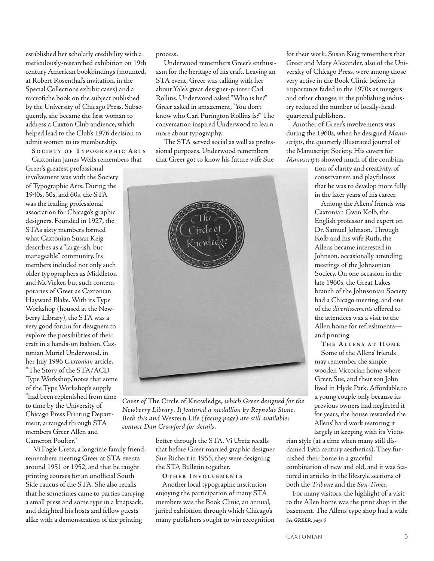established her scholarly credibility with a meticulously-researched exhibition on 19th century American bookbindings (mounted, at Robert Rosenthal's invitation, in the Special Collections exhibit cases) and a microfiche book on the subject published by the University of Chicago Press. Subsequently, she became the first woman to address a Caxton Club audience, which helped lead to the Club's 1976 decision to admit women to its membership.

**S OCIETY OF T YPOGRAPHIC A RTS** Caxtonian James Wells remembers that

Greer's greatest professional involvement was with the Society of Typographic Arts. During the 1940s, 50s, and 60s, the STA was the leading professional association for Chicago's graphic designers. Founded in 1927, the STAs sixty members formed what Caxtonian Susan Keig describes as a "large-ish, but manageable" community. Its members included not only such older typographers as Middleton and McVicker, but such contemporaries of Greer as Caxtonian Hayward Blake. With its Type Workshop (housed at the Newberry Library), the STA was a very good forum for designers to explore the possibilities of their craft in a hands-on fashion. Caxtonian Muriel Underwood, in her July 1996 *Caxtonian* article, "The Story of the STA/ACD Type Workshop,"notes that some of the Type Workshop's supply "had been replenished from time to time by the University of Chicago Press Printing Department, arranged through STA members Greer Allen and

Cameron Poulter." Vi Fogle Uretz, a longtime family friend, remembers meeting Greer at STA events around 1951 or 1952, and that he taught printing courses for an unofficial South Side caucus of the STA. She also recalls that he sometimes came to parties carrying a small press and some type in a knapsack, and delighted his hosts and fellow guests alike with a demonstration of the printing

process.

Underwood remembers Greer's enthusiasm for the heritage of his craft. Leaving an STA event, Greer was talking with her about Yale's great designer-printer Carl Rollins. Underwood asked "Who is he?" Greer asked in amazement,"You don't know who Carl Purington Rollins is?" The conversation inspired Underwood to learn more about typography.

The STA served social as well as professional purposes. Underwood remembers that Greer got to know his future wife Sue



*Cover of* The Circle of Knowledge, *which Greer designed for the Newberry Library. It featured a medallion by Reynolds Stone. Both this and* Western Life *(facing page) are still available; contact Dan Crawford for details.*

better through the STA. Vi Uretz recalls that before Greer married graphic designer Sue Richert in 1955, they were designing the STA Bulletin together.

**O THER I NVOLVEMENTS**

Another local typographic institution enjoying the participation of many STA members was the Book Clinic, an annual, juried exhibition through which Chicago's many publishers sought to win recognition for their work. Susan Keig remembers that Greer and Mary Alexander, also of the University of Chicago Press, were among those very active in the Book Clinic before its importance faded in the 1970s as mergers and other changes in the publishing industry reduced the number of locally-headquartered publishers.

Another of Greer's involvements was during the 1960s, when he designed *Manuscripts*, the quarterly illustrated journal of the Manuscript Society. His covers for *Manuscripts* showed much of the combina-

> tion of clarity and creativity, of conservatism and playfulness that he was to develop more fully in the later years of his career.

> Among the Allens' friends was Caxtonian Gwin Kolb, the English professor and expert on Dr. Samuel Johnson. Through Kolb and his wife Ruth, the Allens became interested in Johnson, occasionally attending meetings of the Johnsonian Society. On one occasion in the late 1960s, the Great Lakes branch of the Johnsonian Society had a Chicago meeting, and one of the *divertissements* offered to the attendees was a visit to the Allen home for refreshments and printing.

**T H E A LLENS AT H OME**

Some of the Allens' friends may remember the simple wooden Victorian home where Greer, Sue, and their son John lived in Hyde Park. Affordable to a young couple only because its previous owners had neglected it for years, the house rewarded the Allens' hard work restoring it largely in keeping with its Victo-

rian style (at a time when many still disdained 19th century aesthetics). They furnished their home in a graceful combination of new and old, and it was featured in articles in the lifestyle sections of both the *Tribune* and the *Sun-Times*.

For many visitors, the highlight of a visit to the Allen home was the print shop in the basement. The Allens' type shop had a wide *See GREER, page 6*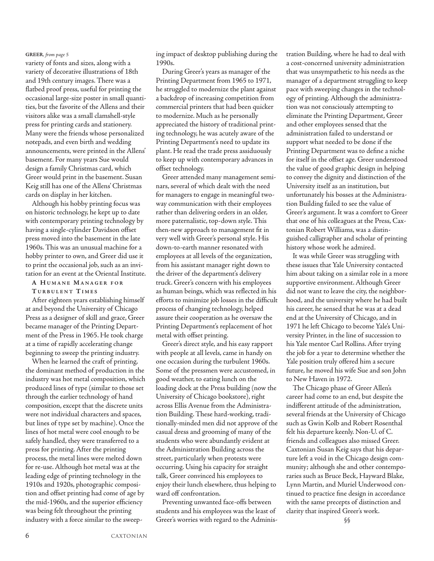variety of fonts and sizes, along with a variety of decorative illustrations of 18th and 19th century images. There was a flatbed proof press, useful for printing the occasional large-size poster in small quantities, but the favorite of the Allens and their visitors alike was a small clamshell-style press for printing cards and stationery. Many were the friends whose personalized notepads, and even birth and wedding announcements, were printed in the Allens' basement. For many years Sue would design a family Christmas card, which Greer would print in the basement. Susan Keig still has one of the Allens' Christmas cards on display in her kitchen.

Although his hobby printing focus was on historic technology, he kept up to date with contemporary printing technology by having a single-cylinder Davidson offset press moved into the basement in the late 1960s. This was an unusual machine for a hobby printer to own, and Greer did use it to print the occasional job, such as an invitation for an event at the Oriental Institute.

## **A H UMANE M ANAGER FOR**

**T URBULENT T IMES**

After eighteen years establishing himself at and beyond the University of Chicago Press as a designer of skill and grace, Greer became manager of the Printing Department of the Press in 1965. He took charge at a time of rapidly accelerating change beginning to sweep the printing industry.

When he learned the craft of printing, the dominant method of production in the industry was hot metal composition, which produced lines of type (similar to those set through the earlier technology of hand composition, except that the discrete units were not individual characters and spaces, but lines of type set by machine). Once the lines of hot metal were cool enough to be safely handled, they were transferred to a press for printing. After the printing process, the metal lines were melted down for re-use. Although hot metal was at the leading edge of printing technology in the 1910s and 1920s, photographic composition and offset printing had come of age by the mid-1960s, and the superior efficiency was being felt throughout the printing industry with a force similar to the sweep-

ing impact of desktop publishing during the **GREER***, from page 5* tration Building, where he had to deal with 1990s.

> During Greer's years as manager of the Printing Department from 1965 to 1971, he struggled to modernize the plant against a backdrop of increasing competition from commercial printers that had been quicker to modernize. Much as he personally appreciated the history of traditional printing technology, he was acutely aware of the Printing Department's need to update its plant. He read the trade press assiduously to keep up with contemporary advances in offset technology.

Greer attended many management seminars, several of which dealt with the need for managers to engage in meaningful twoway communication with their employees rather than delivering orders in an older, more paternalistic, top-down style. This then-new approach to management fit in very well with Greer's personal style. His down-to-earth manner resonated with employees at all levels of the organization, from his assistant manager right down to the driver of the department's delivery truck. Greer's concern with his employees as human beings, which was reflected in his efforts to minimize job losses in the difficult process of changing technology, helped assure their cooperation as he oversaw the Printing Department's replacement of hot metal with offset printing.

Greer's direct style, and his easy rapport with people at all levels, came in handy on one occasion during the turbulent 1960s. Some of the pressmen were accustomed, in good weather, to eating lunch on the loading dock at the Press building (now the University of Chicago bookstore), right across Ellis Avenue from the Administration Building. These hard-working, traditionally-minded men did not approve of the casual dress and grooming of many of the students who were abundantly evident at the Administration Building across the street, particularly when protests were occurring. Using his capacity for straight talk, Greer convinced his employees to enjoy their lunch elsewhere, thus helping to ward off confrontation.

Preventing unwanted face-offs between students and his employees was the least of Greer's worries with regard to the Adminisa cost-concerned university administration that was unsympathetic to his needs as the manager of a department struggling to keep pace with sweeping changes in the technology of printing. Although the administration was not consciously attempting to eliminate the Printing Department, Greer and other employees sensed that the administration failed to understand or support what needed to be done if the Printing Department was to define a niche for itself in the offset age. Greer understood the value of good graphic design in helping to convey the dignity and distinction of the University itself as an institution, but unfortunately his bosses at the Administration Building failed to see the value of Greer's argument. It was a comfort to Greer that one of his colleagues at the Press, Caxtonian Robert Williams, was a distinguished calligrapher and scholar of printing history whose work he admired.

It was while Greer was struggling with these issues that Yale University contacted him about taking on a similar role in a more supportive environment. Although Greer did not want to leave the city, the neighborhood, and the university where he had built his career, he sensed that he was at a dead end at the University of Chicago, and in 1971 he left Chicago to become Yale's University Printer, in the line of succession to his Yale mentor Carl Rollins. After trying the job for a year to determine whether the Yale position truly offered him a secure future, he moved his wife Sue and son John to New Haven in 1972.

The Chicago phase of Greer Allen's career had come to an end, but despite the indifferent attitude of the administration, several friends at the University of Chicago such as Gwin Kolb and Robert Rosenthal felt his departure keenly. Non-U. of C. friends and colleagues also missed Greer. Caxtonian Susan Keig says that his departure left a void in the Chicago design community; although she and other contemporaries such as Bruce Beck, Hayward Blake, Lynn Martin, and Muriel Underwood continued to practice fine design in accordance with the same precepts of distinction and clarity that inspired Greer's work.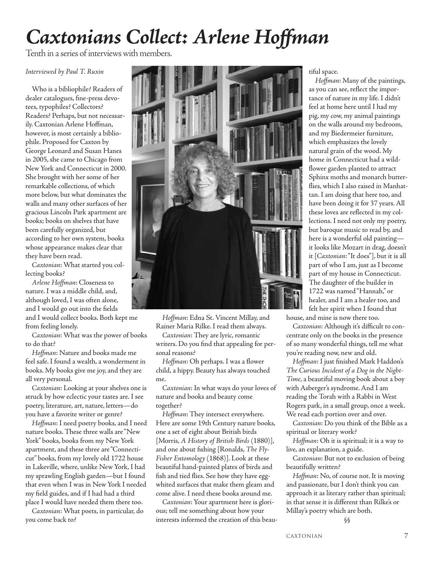# *Caxtonians Collect: Arlene Hoffman*

Tenth in a series of interviews with members.

*Interviewed by Paul T. Ruxin*

Who is a bibliophile? Readers of dealer catalogues, fine-press devotees, typophiles? Collectors? Readers? Perhaps, but not necessarily. Caxtonian Arlene Hoffman, however, is most certainly a bibliophile. Proposed for Caxton by George Leonard and Susan Hanes in 2005, she came to Chicago from New York and Connecticut in 2000. She brought with her some of her remarkable collections, of which more below, but what dominates the walls and many other surfaces of her gracious Lincoln Park apartment are books; books on shelves that have been carefully organized, but according to her own system, books whose appearance makes clear that they have been read.

*Caxtonian*: What started you collecting books?

*Arlene Hoffman*: Closeness to nature. I was a middle child, and, although loved, I was often alone, and I would go out into the fields and I would collect books. Both kept me from feeling lonely.

*Caxtonian*: What was the power of books to do that?

*Hoffman*: Nature and books made me feel safe. I found a wealth, a wonderment in books. My books give me joy, and they are all very personal.

*Caxtonian*: Looking at your shelves one is struck by how eclectic your tastes are. I see poetry, literature, art, nature, letters—do you have a favorite writer or genre?

*Hoffman*: I need poetry books, and I need nature books. These three walls are "New York" books, books from my New York apartment, and these three are "Connecticut" books, from my lovely old 1722 house in Lakeville, where, unlike New York, I had my sprawling English garden—but I found that even when I was in New York I needed my field guides, and if I had had a third place I would have needed them there too.

*Caxtonian*: What poets, in particular, do you come back to?



*Hoffman*: Edna St. Vincent Millay, and Rainer Maria Rilke. I read them always.

*Caxtonian*: They are lyric, romantic writers. Do you find that appealing for personal reasons?

*Hoffman*: Oh perhaps. I was a flower child, a hippy. Beauty has always touched me.

*Caxtonian*: In what ways do your loves of nature and books and beauty come together?

*Hoffman*: They intersect everywhere. Here are some 19th Century nature books, one a set of eight about British birds [Morris, *A History of British Birds* (1880)], and one about fishing [Ronalds, *The Fly-Fisher Entomology* (1868)]. Look at these beautiful hand-painted plates of birds and fish and tied flies. See how they have eggwhited surfaces that make them gleam and come alive. I need these books around me.

*Caxtonian*: Your apartment here is glorious; tell me something about how your interests informed the creation of this beautiful space.

*Hoffman*: Many of the paintings, as you can see, reflect the importance of nature in my life. I didn't feel at home here until I had my pig, my cow, my animal paintings on the walls around my bedroom, and my Biedermeier furniture, which emphasizes the lovely natural grain of the wood. My home in Connecticut had a wildflower garden planted to attract Sphinx moths and monarch butterflies, which I also raised in Manhattan. I am doing that here too, and have been doing it for 37 years. All these loves are reflected in my collections. I need not only my poetry, but baroque music to read by, and here is a wonderful old painting it looks like Mozart in drag, doesn't it [*Caxtonian*:"It does"], but it is all part of who I am, just as I become part of my house in Connecticut. The daughter of the builder in 1722 was named "Hannah," or healer, and I am a healer too, and felt her spirit when I found that

house, and mine is now there too.

*Caxtonian*: Although it's difficult to concentrate only on the books in the presence of so many wonderful things, tell me what you're reading now, new and old.

*Hoffman*: I just finished Mark Haddon's *The Curious Incident of a Dog in the Night-Time*, a beautiful moving book about a boy with Asberger's syndrome. And I am reading the Torah with a Rabbi in West Rogers park, in a small group, once a week. We read each portion over and over.

*Caxtonian*: Do you think of the Bible as a spiritual or literary work?

*Hoffman*: Oh it is spiritual; it is a way to live, an explanation, a guide.

*Caxtonian*: But not to exclusion of being beautifully written?

*Hoffman*: No, of course not. It is moving and passionate, but I don't think you can approach it as literary rather than spiritual; in that sense it is different than Rilke's or Millay's poetry which are both.